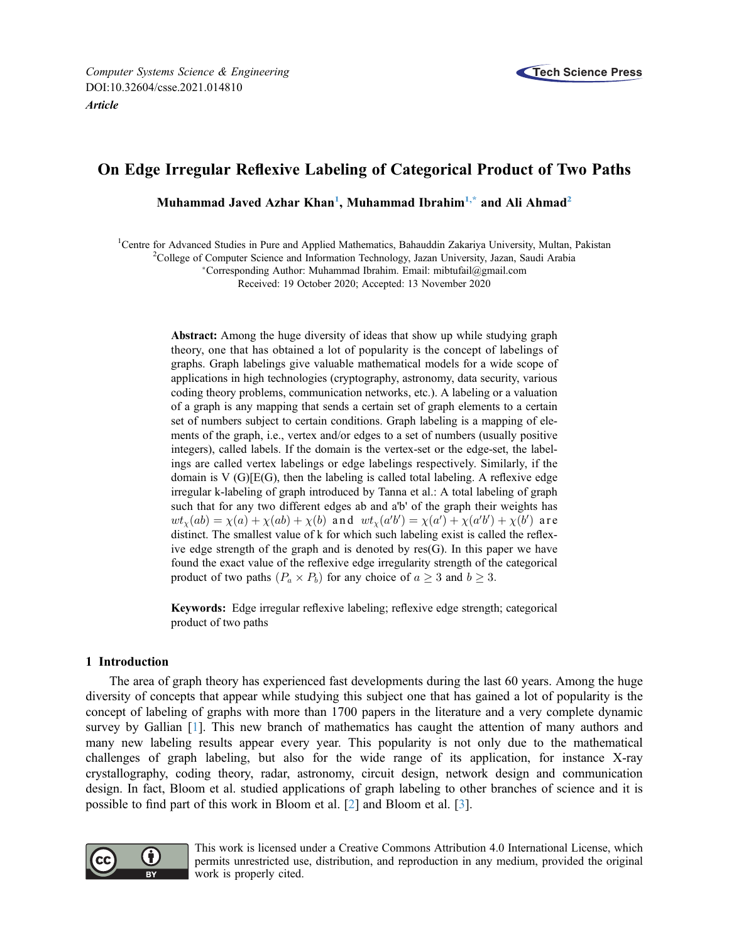# On Edge Irregular Reflexive Labeling of Categorical Product of Two Paths

Muhammad Javed Azhar Khan<sup>1</sup>, Muhammad Ibrahim<sup>1,[\\*](#page-0-1)</sup> and Ali Ahmad<sup>2</sup>

<span id="page-0-2"></span><span id="page-0-1"></span><span id="page-0-0"></span><sup>1</sup>Centre for Advanced Studies in Pure and Applied Mathematics, Bahauddin Zakariya University, Multan, Pakistan <sup>2</sup>College of Computer Science and Information Technology, Jazzn University, Jazzn, Soudi Arabia

<sup>2</sup>College of Computer Science and Information Technology, Jazan University, Jazan, Saudi Arabia

Corresponding Author: Muhammad Ibrahim. Email: [mibtufail@gmail.com](mailto:mibtufail@gmail.com)

Received: 19 October 2020; Accepted: 13 November 2020

Abstract: Among the huge diversity of ideas that show up while studying graph theory, one that has obtained a lot of popularity is the concept of labelings of graphs. Graph labelings give valuable mathematical models for a wide scope of applications in high technologies (cryptography, astronomy, data security, various coding theory problems, communication networks, etc.). A labeling or a valuation of a graph is any mapping that sends a certain set of graph elements to a certain set of numbers subject to certain conditions. Graph labeling is a mapping of elements of the graph, i.e., vertex and/or edges to a set of numbers (usually positive integers), called labels. If the domain is the vertex-set or the edge-set, the labelings are called vertex labelings or edge labelings respectively. Similarly, if the domain is V (G)[E(G), then the labeling is called total labeling. A reflexive edge irregular k-labeling of graph introduced by Tanna et al.: A total labeling of graph such that for any two different edges ab and a'b' of the graph their weights has  $wt_{\chi}(ab) = \chi(a) + \chi(ab) + \chi(b)$  and  $wt_{\chi}(a'b') = \chi(a') + \chi(a'b') + \chi(b')$  are distinct. The smallest value of k for which such labeling exist is called the reflexive edge strength of the graph and is denoted by res(G). In this paper we have found the exact value of the reflexive edge irregularity strength of the categorical product of two paths  $(P_a \times P_b)$  for any choice of  $a \geq 3$  and  $b \geq 3$ .

Keywords: Edge irregular reflexive labeling; reflexive edge strength; categorical product of two paths

## 1 Introduction

The area of graph theory has experienced fast developments during the last 60 years. Among the huge diversity of concepts that appear while studying this subject one that has gained a lot of popularity is the concept of labeling of graphs with more than 1700 papers in the literature and a very complete dynamic survey by Gallian [\[1\]](#page-6-0). This new branch of mathematics has caught the attention of many authors and many new labeling results appear every year. This popularity is not only due to the mathematical challenges of graph labeling, but also for the wide range of its application, for instance X-ray crystallography, coding theory, radar, astronomy, circuit design, network design and communication design. In fact, Bloom et al. studied applications of graph labeling to other branches of science and it is possible to find part of this work in Bloom et al. [[2](#page-6-1)] and Bloom et al. [\[3\]](#page-6-2).



This work is licensed under a Creative Commons Attribution 4.0 International License, which permits unrestricted use, distribution, and reproduction in any medium, provided the original work is properly cited.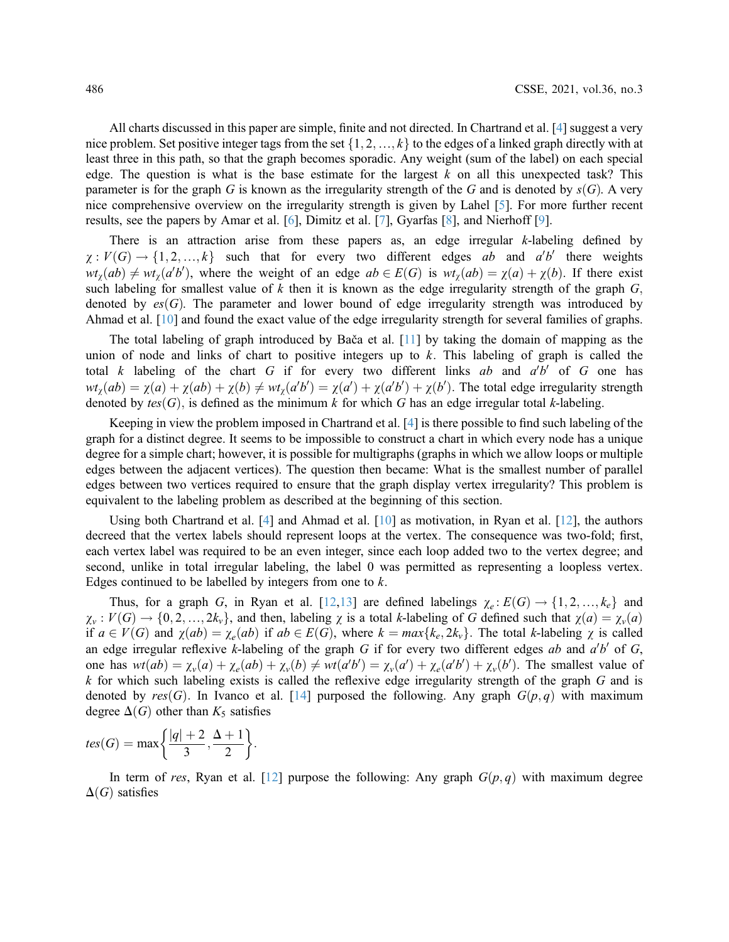All charts discussed in this paper are simple, finite and not directed. In Chartrand et al. [\[4\]](#page-6-3) suggest a very nice problem. Set positive integer tags from the set  $\{1, 2, ..., k\}$  to the edges of a linked graph directly with at least three in this path, so that the graph becomes sporadic. Any weight (sum of the label) on each special edge. The question is what is the base estimate for the largest  $k$  on all this unexpected task? This parameter is for the graph G is known as the irregularity strength of the G and is denoted by  $s(G)$ . A very nice comprehensive overview on the irregularity strength is given by Lahel [\[5\]](#page-6-4). For more further recent results, see the papers by Amar et al. [[6](#page-6-5)], Dimitz et al. [[7\]](#page-7-0), Gyarfas [[8](#page-7-1)], and Nierhoff [\[9\]](#page-7-2).

There is an attraction arise from these papers as, an edge irregular k-labeling defined by  $\chi: V(G) \to \{1, 2, ..., k\}$  such that for every two different edges ab and a'b' there weights  $wt_{\chi}(ab) \neq wt_{\chi}(a'b')$ , where the weight of an edge  $ab \in E(G)$  is  $wt_{\chi}(ab) = \chi(a) + \chi(b)$ . If there exist such labeling for smallest value of  $k$  then it is known as the edge irregularity strength of the graph  $G$ ; denoted by  $es(G)$ . The parameter and lower bound of edge irregularity strength was introduced by Ahmad et al. [[10\]](#page-7-3) and found the exact value of the edge irregularity strength for several families of graphs.

The total labeling of graph introduced by Bača et al. [\[11\]](#page-7-4) by taking the domain of mapping as the union of node and links of chart to positive integers up to  $k$ . This labeling of graph is called the total k labeling of the chart G if for every two different links ab and  $a'b'$  of G one has  $wt_{\chi}(ab) = \chi(a) + \chi(ab) + \chi(b) \neq wt_{\chi}(a'b') = \chi(a') + \chi(a'b') + \chi(b')$ . The total edge irregularity strength denoted by  $tes(G)$ , is defined as the minimum k for which G has an edge irregular total k-labeling.

Keeping in view the problem imposed in Chartrand et al. [\[4\]](#page-6-3) is there possible to find such labeling of the graph for a distinct degree. It seems to be impossible to construct a chart in which every node has a unique degree for a simple chart; however, it is possible for multigraphs (graphs in which we allow loops or multiple edges between the adjacent vertices). The question then became: What is the smallest number of parallel edges between two vertices required to ensure that the graph display vertex irregularity? This problem is equivalent to the labeling problem as described at the beginning of this section.

Using both Chartrand et al. [[4](#page-6-3)] and Ahmad et al. [\[10](#page-7-3)] as motivation, in Ryan et al. [\[12](#page-7-5)], the authors decreed that the vertex labels should represent loops at the vertex. The consequence was two-fold; first, each vertex label was required to be an even integer, since each loop added two to the vertex degree; and second, unlike in total irregular labeling, the label 0 was permitted as representing a loopless vertex. Edges continued to be labelled by integers from one to  $k$ .

Thus, for a graph G, in Ryan et al. [[12](#page-7-5)[,13](#page-7-6)] are defined labelings  $\chi_e : E(G) \to \{1, 2, ..., k_e\}$  and  $\chi_v: V(G) \to \{0, 2, ..., 2k_v\}$ , and then, labeling  $\chi$  is a total k-labeling of G defined such that  $\chi(a) = \chi_v(a)$ if  $a \in V(G)$  and  $\chi(ab) = \chi_e(ab)$  if  $ab \in E(G)$ , where  $k = max\{k_e, 2k_v\}$ . The total k-labeling  $\chi$  is called an edge irregular reflexive k-labeling of the graph G if for every two different edges ab and  $a'b'$  of G, one has  $wt(ab) = \chi_v(a) + \chi_e(ab) + \chi_v(b) \neq wt(a'b') = \chi_v(a') + \chi_e(a'b') + \chi_v(b')$ . The smallest value of  $k$  for which such labeling exists is called the reflexive edge irregularity strength of the graph  $G$  and is denoted by res (G). In Ivanco et al. [[14\]](#page-7-7) purposed the following. Any graph  $G(p,q)$  with maximum degree  $\Delta(G)$  other than  $K_5$  satisfies

$$
tes(G) = \max\left\{\frac{|q|+2}{3}, \frac{\Delta+1}{2}\right\}.
$$

In term of res, Ryan et al. [[12\]](#page-7-5) purpose the following: Any graph  $G(p,q)$  with maximum degree  $\Delta(G)$  satisfies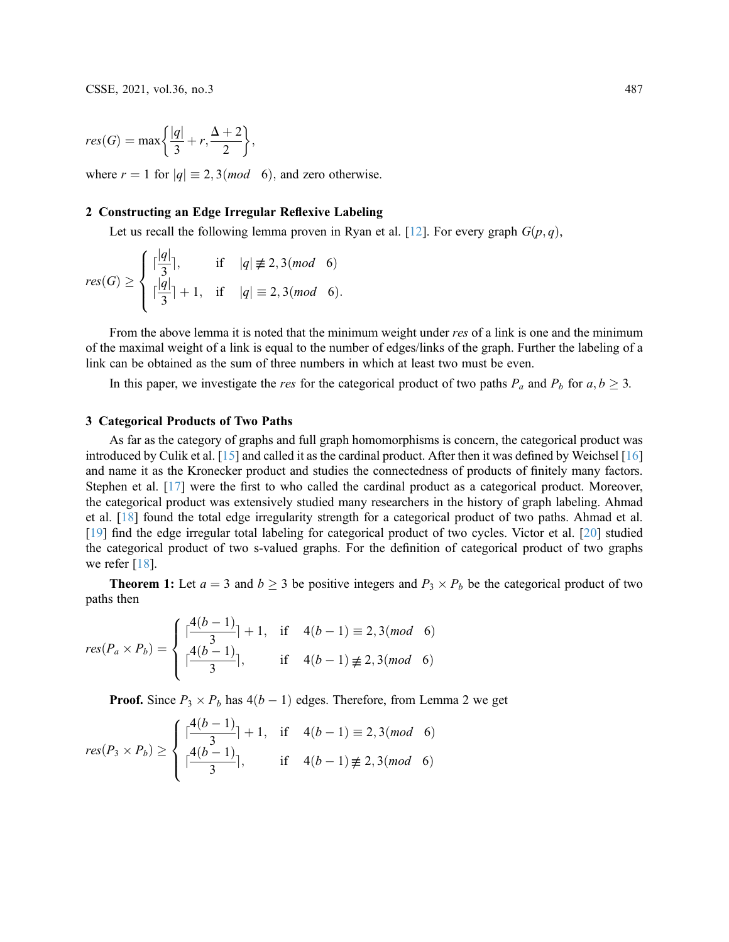$$
res(G) = \max\left\{\frac{|q|}{3} + r, \frac{\Delta + 2}{2}\right\},\
$$

where  $r = 1$  for  $|q| \equiv 2, 3 \pmod{6}$ , and zero otherwise.

#### 2 Constructing an Edge Irregular Reflexive Labeling

Let us recall the following lemma proven in Ryan et al. [[12\]](#page-7-5). For every graph  $G(p,q)$ ,

$$
res(G) \ge \begin{cases} \lceil \frac{|q|}{3} \rceil, & \text{if } |q| \not\equiv 2, 3 \pmod{6} \\ \lceil \frac{|q|}{3} \rceil + 1, & \text{if } |q| \equiv 2, 3 \pmod{6}. \end{cases}
$$

From the above lemma it is noted that the minimum weight under res of a link is one and the minimum of the maximal weight of a link is equal to the number of edges/links of the graph. Further the labeling of a link can be obtained as the sum of three numbers in which at least two must be even.

In this paper, we investigate the *res* for the categorical product of two paths  $P_a$  and  $P_b$  for  $a, b \ge 3$ .

### 3 Categorical Products of Two Paths

As far as the category of graphs and full graph homomorphisms is concern, the categorical product was introduced by Culik et al. [[15\]](#page-7-8) and called it as the cardinal product. After then it was defined by Weichsel [[16\]](#page-7-9) and name it as the Kronecker product and studies the connectedness of products of finitely many factors. Stephen et al. [\[17\]](#page-7-10) were the first to who called the cardinal product as a categorical product. Moreover, the categorical product was extensively studied many researchers in the history of graph labeling. Ahmad et al. [[18\]](#page-7-11) found the total edge irregularity strength for a categorical product of two paths. Ahmad et al. [[19](#page-7-12)] find the edge irregular total labeling for categorical product of two cycles. Victor et al. [\[20](#page-7-13)] studied the categorical product of two s-valued graphs. For the definition of categorical product of two graphs we refer [[18\]](#page-7-11).

**Theorem 1:** Let  $a = 3$  and  $b \ge 3$  be positive integers and  $P_3 \times P_b$  be the categorical product of two paths then

$$
res(P_a \times P_b) = \begin{cases} \lceil \frac{4(b-1)}{3} \rceil + 1, & \text{if } 4(b-1) \equiv 2, 3 \pmod{6} \\ \lceil \frac{4(b-1)}{3} \rceil, & \text{if } 4(b-1) \not\equiv 2, 3 \pmod{6} \end{cases}
$$

**Proof.** Since  $P_3 \times P_b$  has  $4(b - 1)$  edges. Therefore, from Lemma 2 we get

$$
res(P_3 \times P_b) \ge \begin{cases} \lceil \frac{4(b-1)}{3} \rceil + 1, & \text{if } 4(b-1) \equiv 2, 3 \pmod{6} \\ \lceil \frac{4(b-1)}{3} \rceil, & \text{if } 4(b-1) \not\equiv 2, 3 \pmod{6} \end{cases}
$$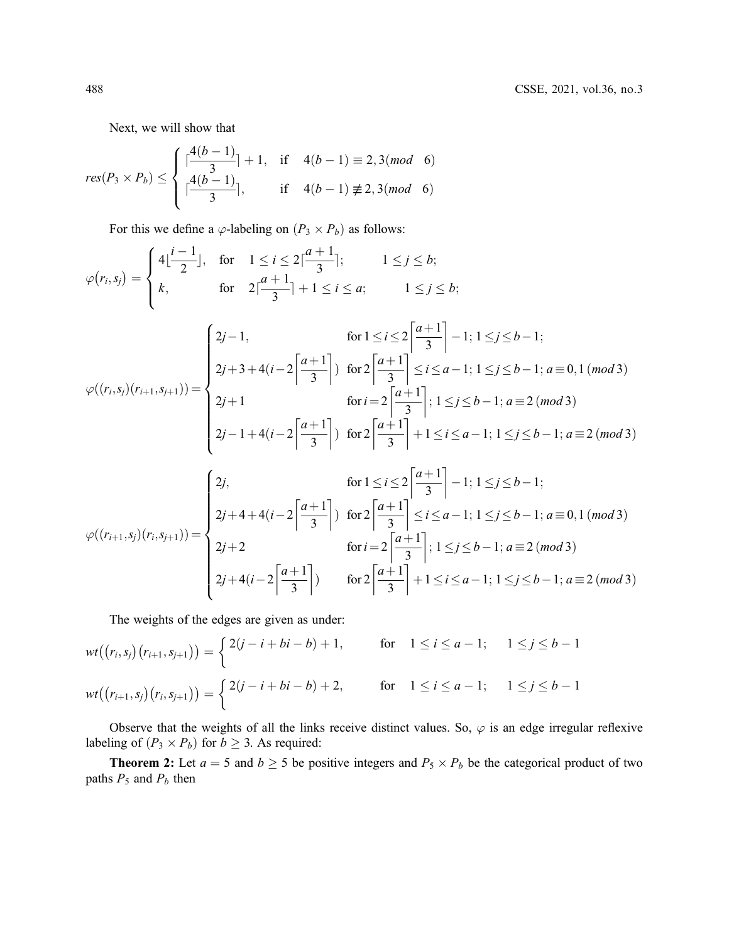Next, we will show that

$$
res(P_3 \times P_b) \le \begin{cases} \lceil \frac{4(b-1)}{3} \rceil + 1, & \text{if } 4(b-1) \equiv 2, 3 \pmod{6} \\ \lceil \frac{4(b-1)}{3} \rceil, & \text{if } 4(b-1) \not\equiv 2, 3 \pmod{6} \end{cases}
$$

For this we define a  $\varphi$ -labeling on  $(P_3 \times P_b)$  as follows:

$$
\varphi(r_i, s_j) = \begin{cases}\n4\left(\frac{i-1}{2}\right), & \text{for } 1 \le i \le 2\left(\frac{a+1}{3}\right); & 1 \le j \le b; \\
k, & \text{for } 2\left(\frac{a+1}{3}\right) + 1 \le i \le a; & 1 \le j \le b;\n\end{cases}
$$
\n
$$
\varphi((r_i, s_j)(r_{i+1}, s_{j+1})) = \begin{cases}\n2j-1, & \text{for } 1 \le i \le 2\left\left[\frac{a+1}{3}\right] - 1; 1 \le j \le b-1; \\
2j+3+4(i-2\left\left[\frac{a+1}{3}\right]\right) & \text{for } 2\left\left[\frac{a+1}{3}\right] \le i \le a-1; 1 \le j \le b-1; a \equiv 0, 1 \text{ (mod 3)} \\
2j+1 & \text{for } i = 2\left\left[\frac{a+1}{3}\right]; 1 \le j \le b-1; a \equiv 2 \text{ (mod 3)} \\
2j-1+4(i-2\left\left[\frac{a+1}{3}\right]\right) & \text{for } 2\left\left[\frac{a+1}{3}\right] + 1 \le i \le a-1; 1 \le j \le b-1; a \equiv 2 \text{ (mod 3)}\n\end{cases}
$$
\n
$$
\varphi((r_{i+1}, s_j)(r_i, s_{j+1})) = \begin{cases}\n2j, & \text{for } 1 \le i \le 2\left\left\lceil \frac{a+1}{3} \right\rceil - 1; 1 \le j \le b-1; \\
2j+4+4(i-2\left\lceil \frac{a+1}{3} \right\rceil) & \text{for } 2\left\lceil \frac{a+1}{3} \right\rceil \le i \le a-1; 1 \le j \le b-1; a \equiv 0, 1 \text{ (mod 3)} \\
2j+2 & \text{for } i = 2\left\lceil \frac{a+1}{3} \right\rceil; 1 \le j \le b-1; a \equiv 2 \text{ (mod 3)} \\
2j+4(i-2\left\lceil \frac{a+1}{3} \right\rceil) & \text{for } 2\left\lceil \frac{a+1}{3} \right\rceil + 1 \le i \le a-1; 1 \le j \le b-1; a \equiv 2 \text{
$$

The weights of the edges are given as under:

$$
wt((r_i, s_j)(r_{i+1}, s_{j+1})) = \begin{cases} 2(j-i+bi-b)+1, & \text{for } 1 \le i \le a-1; 1 \le j \le b-1 \\ wt((r_{i+1}, s_j)(r_i, s_{j+1})) = \begin{cases} 2(j-i+bi-b)+2, & \text{for } 1 \le i \le a-1; 1 \le j \le b-1 \end{cases} \end{cases}
$$

Observe that the weights of all the links receive distinct values. So,  $\varphi$  is an edge irregular reflexive labeling of  $(P_3 \times P_b)$  for  $b \geq 3$ . As required:

**Theorem 2:** Let  $a = 5$  and  $b \ge 5$  be positive integers and  $P_5 \times P_b$  be the categorical product of two paths  $P_5$  and  $P_b$  then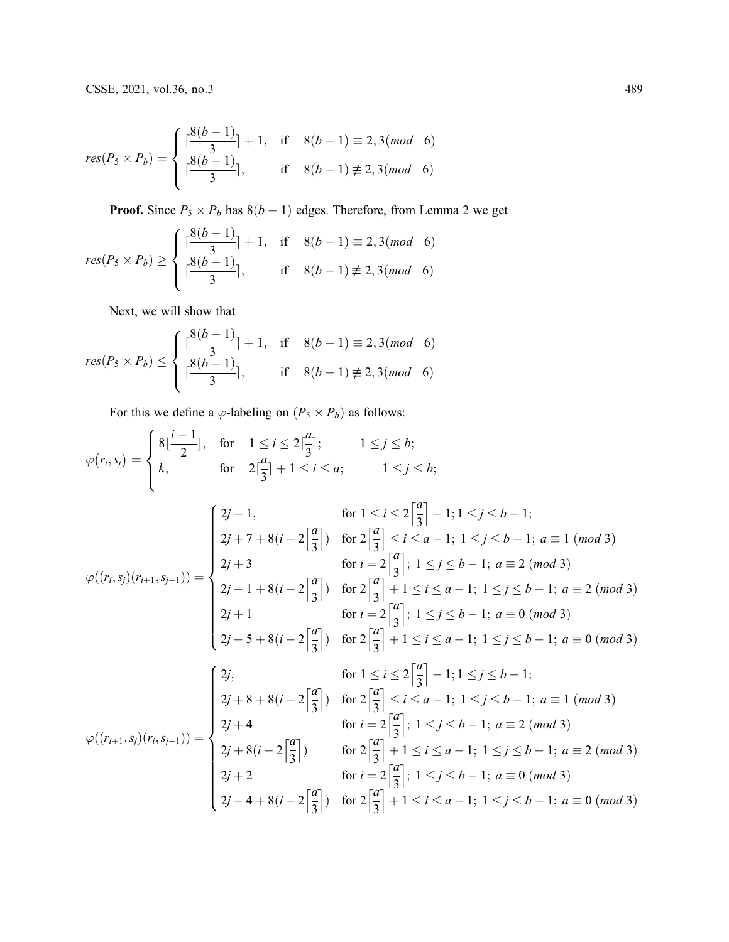$$
res(P_5 \times P_b) = \begin{cases} \lceil \frac{8(b-1)}{3} \rceil + 1, & \text{if } 8(b-1) \equiv 2, 3 \pmod{6} \\ \lceil \frac{8(b-1)}{3} \rceil, & \text{if } 8(b-1) \not\equiv 2, 3 \pmod{6} \end{cases}
$$

**Proof.** Since  $P_5 \times P_b$  has  $8(b - 1)$  edges. Therefore, from Lemma 2 we get

$$
res(P_5 \times P_b) \ge \begin{cases} \lceil \frac{8(b-1)}{3} \rceil + 1, & \text{if } 8(b-1) \equiv 2, 3 \pmod{6} \\ \lceil \frac{8(b-1)}{3} \rceil, & \text{if } 8(b-1) \not\equiv 2, 3 \pmod{6} \end{cases}
$$

Next, we will show that

$$
res(P_5 \times P_b) \le \begin{cases} \lceil \frac{8(b-1)}{3} \rceil + 1, & \text{if } 8(b-1) \equiv 2, 3 \pmod{6} \\ \lceil \frac{8(b-1)}{3} \rceil, & \text{if } 8(b-1) \not\equiv 2, 3 \pmod{6} \end{cases}
$$

For this we define a  $\varphi$ -labeling on  $(P_5 \times P_b)$  as follows:

$$
\varphi(r_i, s_j) = \begin{cases}\n8 \lfloor \frac{i-1}{2} \rfloor, & \text{for} \quad 1 \le i \le 2 \lfloor \frac{a}{3} \rfloor; \\
k, & \text{for} \quad 2 \lfloor \frac{a}{3} \rfloor + 1 \le i \le a; \\
k, & \text{for} \quad 2 \lfloor \frac{a}{3} \rfloor + 1 \le i \le a;\n\end{cases}\n\quad 1 \le j \le b;
$$
\n
$$
\varphi((r_i, s_j)(r_{i+1}, s_{j+1})) = \begin{cases}\n2j - 1, & \text{for} \ 1 \le i \le 2 \lfloor \frac{a}{3} \rfloor - 1; 1 \le j \le b - 1; \\
2j + 3 & \text{for} \ i = 2 \lfloor \frac{a}{3} \rfloor; 1 \le j \le b - 1; a \equiv 1 \pmod{3} \\
2j + 3 & \text{for} \ i = 2 \lfloor \frac{a}{3} \rfloor; 1 \le j \le b - 1; a \equiv 2 \pmod{3} \\
2j - 1 + 8(i - 2 \lfloor \frac{a}{3} \rfloor) & \text{for} \ 2 \lfloor \frac{a}{3} \rfloor + 1 \le i \le a - 1; 1 \le j \le b - 1; a \equiv 2 \pmod{3} \\
2j + 1 & \text{for} \ i = 2 \lfloor \frac{a}{3} \rfloor; 1 \le j \le b - 1; a \equiv 0 \pmod{3} \\
2j - 5 + 8(i - 2 \lfloor \frac{a}{3} \rfloor) & \text{for} \ 2 \lfloor \frac{a}{3} \rfloor + 1 \le i \le a - 1; 1 \le j \le b - 1; a \equiv 0 \pmod{3} \\
2j + 8 + 8(i - 2 \lfloor \frac{a}{3} \rfloor) & \text{for} \ 2 \lfloor \frac{a}{3} \rfloor - 1; 1 \le j \le b - 1; a \equiv 1 \pmod{3} \\
2j + 4 & \text{for} \ i = 2 \lfloor \frac{a}{3} \rfloor; 1 \le j \le b - 1; a \equiv 1 \pmod{3} \\
2j + 4 & \text{for} \ i = 2 \lfloor \frac{a}{3} \rfloor; 1
$$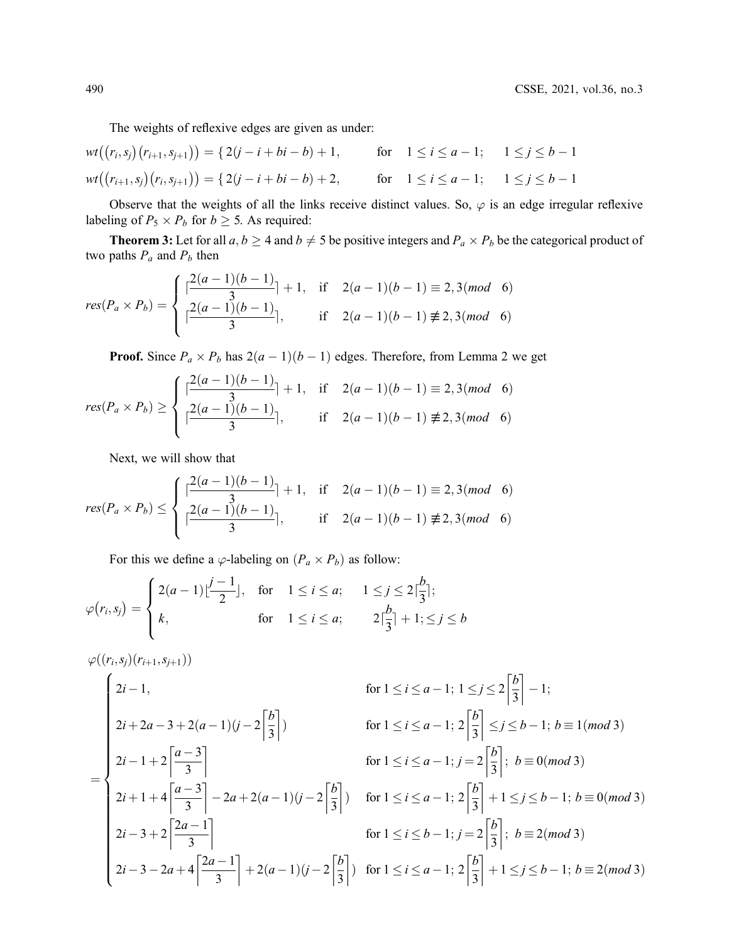The weights of reflexive edges are given as under:

$$
wt((r_i, s_j)(r_{i+1}, s_{j+1})) = \{ 2(j-i+bi-b) + 1, \text{ for } 1 \le i \le a-1; 1 \le j \le b-1
$$
  

$$
wt((r_{i+1}, s_j)(r_i, s_{j+1})) = \{ 2(j-i+bi-b) + 2, \text{ for } 1 \le i \le a-1; 1 \le j \le b-1
$$

Observe that the weights of all the links receive distinct values. So,  $\varphi$  is an edge irregular reflexive labeling of  $P_5 \times P_b$  for  $b \geq 5$ . As required:

**Theorem 3:** Let for all  $a, b \ge 4$  and  $b \ne 5$  be positive integers and  $P_a \times P_b$  be the categorical product of two paths  $P_a$  and  $P_b$  then

$$
res(P_a \times P_b) = \begin{cases} \left[ \frac{2(a-1)(b-1)}{3} \right] + 1, & \text{if } 2(a-1)(b-1) \equiv 2, 3 \pmod{6} \\ \left[ \frac{2(a-1)(b-1)}{3} \right], & \text{if } 2(a-1)(b-1) \not\equiv 2, 3 \pmod{6} \end{cases}
$$

**Proof.** Since  $P_a \times P_b$  has  $2(a-1)(b-1)$  edges. Therefore, from Lemma 2 we get

$$
res(P_a \times P_b) \ge \begin{cases} \left[ \frac{2(a-1)(b-1)}{3} \right] + 1, & \text{if } 2(a-1)(b-1) \equiv 2, 3 \pmod{6} \\ \left[ \frac{2(a-1)(b-1)}{3} \right], & \text{if } 2(a-1)(b-1) \not\equiv 2, 3 \pmod{6} \end{cases}
$$

Next, we will show that

$$
res(P_a \times P_b) \le \begin{cases} \left[ \frac{2(a-1)(b-1)}{3} \right] + 1, & \text{if } 2(a-1)(b-1) \equiv 2, 3 \pmod{6} \\ \left[ \frac{2(a-1)(b-1)}{3} \right], & \text{if } 2(a-1)(b-1) \not\equiv 2, 3 \pmod{6} \end{cases}
$$

For this we define a  $\varphi$ -labeling on  $(P_a \times P_b)$  as follow:

$$
\varphi(r_i, s_j) = \begin{cases} 2(a-1)\left\lfloor \frac{j-1}{2} \right\rfloor, & \text{for} \quad 1 \le i \le a; \quad 1 \le j \le 2\left\lceil \frac{b}{3} \right\rceil; \\ k, & \text{for} \quad 1 \le i \le a; \quad 2\left\lceil \frac{b}{3} \right\rceil + 1; \le j \le b \end{cases}
$$

$$
\varphi((r_i, s_j)(r_{i+1}, s_{j+1}))
$$
\n
$$
= \begin{cases}\n2i - 1, & \text{for } 1 \le i \le a - 1; 1 \le j \le 2 \left[ \frac{b}{3} \right] - 1; \\
2i + 2a - 3 + 2(a - 1)(j - 2 \left[ \frac{b}{3} \right]) & \text{for } 1 \le i \le a - 1; 2 \left[ \frac{b}{3} \right] \le j \le b - 1; b \equiv 1 \pmod{3} \\
2i - 1 + 2 \left[ \frac{a - 3}{3} \right] & \text{for } 1 \le i \le a - 1; j = 2 \left[ \frac{b}{3} \right]; b \equiv 0 \pmod{3} \\
2i + 1 + 4 \left[ \frac{a - 3}{3} \right] - 2a + 2(a - 1)(j - 2 \left[ \frac{b}{3} \right]) & \text{for } 1 \le i \le a - 1; 2 \left[ \frac{b}{3} \right] + 1 \le j \le b - 1; b \equiv 0 \pmod{3} \\
2i - 3 + 2 \left[ \frac{2a - 1}{3} \right] & \text{for } 1 \le i \le b - 1; j = 2 \left[ \frac{b}{3} \right]; b \equiv 2 \pmod{3} \\
2i - 3 - 2a + 4 \left[ \frac{2a - 1}{3} \right] + 2(a - 1)(j - 2 \left[ \frac{b}{3} \right]) & \text{for } 1 \le i \le a - 1; 2 \left[ \frac{b}{3} \right] + 1 \le j \le b - 1; b \equiv 2 \pmod{3}\n\end{cases}
$$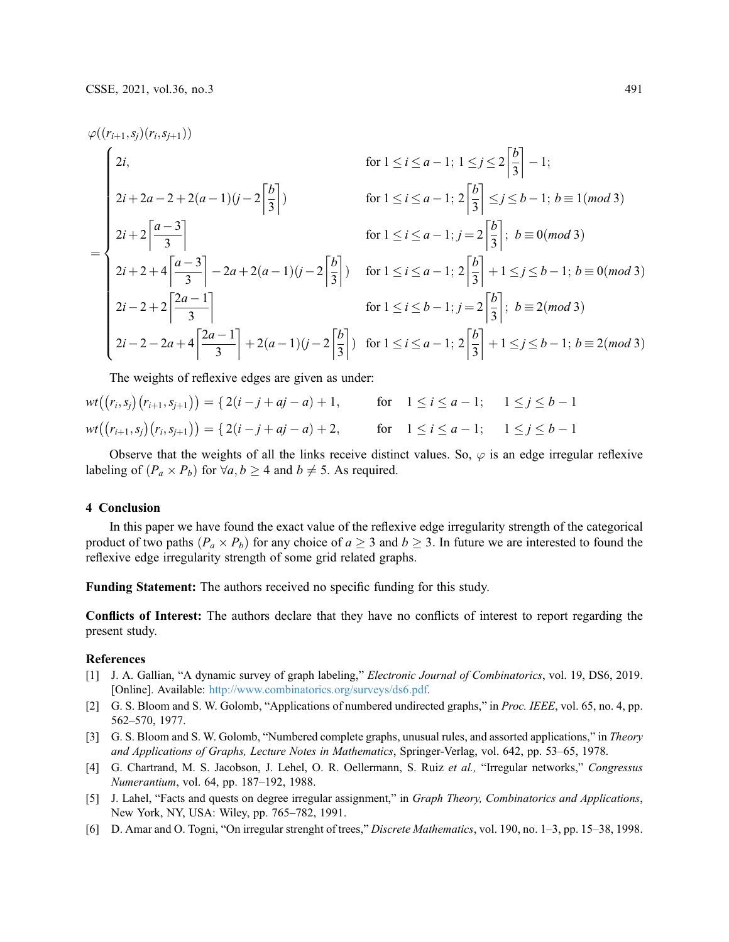$$
\varphi((r_{i+1}, s_j)(r_i, s_{j+1}))
$$
  
\nfor  $1 \le i \le a-1$ ;  $1 \le j \le 2\left[\frac{b}{3}\right] - 1$ ;  
\n $2i + 2a - 2 + 2(a - 1)(j - 2\left[\frac{b}{3}\right])$   
\nfor  $1 \le i \le a-1$ ;  $2\left[\frac{b}{3}\right] \le j \le b - 1$ ;  $b \equiv 1 \pmod{3}$   
\nfor  $1 \le i \le a-1$ ;  $j = 2\left[\frac{b}{3}\right]$ ;  $b \equiv 0 \pmod{3}$   
\nfor  $1 \le i \le a-1$ ;  $j = 2\left[\frac{b}{3}\right]$ ;  $b \equiv 0 \pmod{3}$   
\n $2i + 2 + 4\left[\frac{a - 3}{3}\right] - 2a + 2(a - 1)(j - 2\left[\frac{b}{3}\right])$  for  $1 \le i \le a-1$ ;  $2\left[\frac{b}{3}\right] + 1 \le j \le b - 1$ ;  $b \equiv 0 \pmod{3}$   
\nfor  $1 \le i \le b-1$ ;  $j = 2\left[\frac{b}{3}\right]$ ;  $b \equiv 2 \pmod{3}$   
\n $2i - 2 + 2\left[\frac{2a - 1}{3}\right] + 2(a - 1)(j - 2\left[\frac{b}{3}\right])$  for  $1 \le i \le a-1$ ;  $2\left[\frac{b}{3}\right] + 1 \le j \le b - 1$ ;  $b \equiv 2 \pmod{3}$ 

The weights of reflexive edges are given as under:

$$
wt((r_i, s_j)(r_{i+1}, s_{j+1})) = \{ 2(i - j + aj - a) + 1, \text{ for } 1 \le i \le a - 1; 1 \le j \le b - 1
$$
  

$$
wt((r_{i+1}, s_j)(r_i, s_{j+1})) = \{ 2(i - j + aj - a) + 2, \text{ for } 1 \le i \le a - 1; 1 \le j \le b - 1
$$

Observe that the weights of all the links receive distinct values. So,  $\varphi$  is an edge irregular reflexive labeling of  $(P_a \times P_b)$  for  $\forall a, b \ge 4$  and  $b \ne 5$ . As required.

### 4 Conclusion

In this paper we have found the exact value of the reflexive edge irregularity strength of the categorical product of two paths  $(P_a \times P_b)$  for any choice of  $a \ge 3$  and  $b \ge 3$ . In future we are interested to found the reflexive edge irregularity strength of some grid related graphs.

Funding Statement: The authors received no specific funding for this study.

Conflicts of Interest: The authors declare that they have no conflicts of interest to report regarding the present study.

#### References

- <span id="page-6-0"></span>[1] J. A. Gallian, "A dynamic survey of graph labeling," *Electronic Journal of Combinatorics*, vol. 19, DS6, 2019. [Online]. Available: <http://www.combinatorics.org/surveys/ds6.pdf>.
- <span id="page-6-1"></span>[2] G. S. Bloom and S. W. Golomb, "Applications of numbered undirected graphs," in Proc. IEEE, vol. 65, no. 4, pp. 562–570, 1977.
- <span id="page-6-2"></span>[3] G. S. Bloom and S. W. Golomb, "Numbered complete graphs, unusual rules, and assorted applications," in *Theory* and Applications of Graphs, Lecture Notes in Mathematics, Springer-Verlag, vol. 642, pp. 53–65, 1978.
- <span id="page-6-3"></span>[4] G. Chartrand, M. S. Jacobson, J. Lehel, O. R. Oellermann, S. Ruiz et al., "Irregular networks," Congressus Numerantium, vol. 64, pp. 187–192, 1988.
- <span id="page-6-4"></span>[5] J. Lahel, "Facts and quests on degree irregular assignment," in Graph Theory, Combinatorics and Applications, New York, NY, USA: Wiley, pp. 765–782, 1991.
- <span id="page-6-5"></span>[6] D. Amar and O. Togni, "On irregular strenght of trees," Discrete Mathematics, vol. 190, no. 1–3, pp. 15–38, 1998.